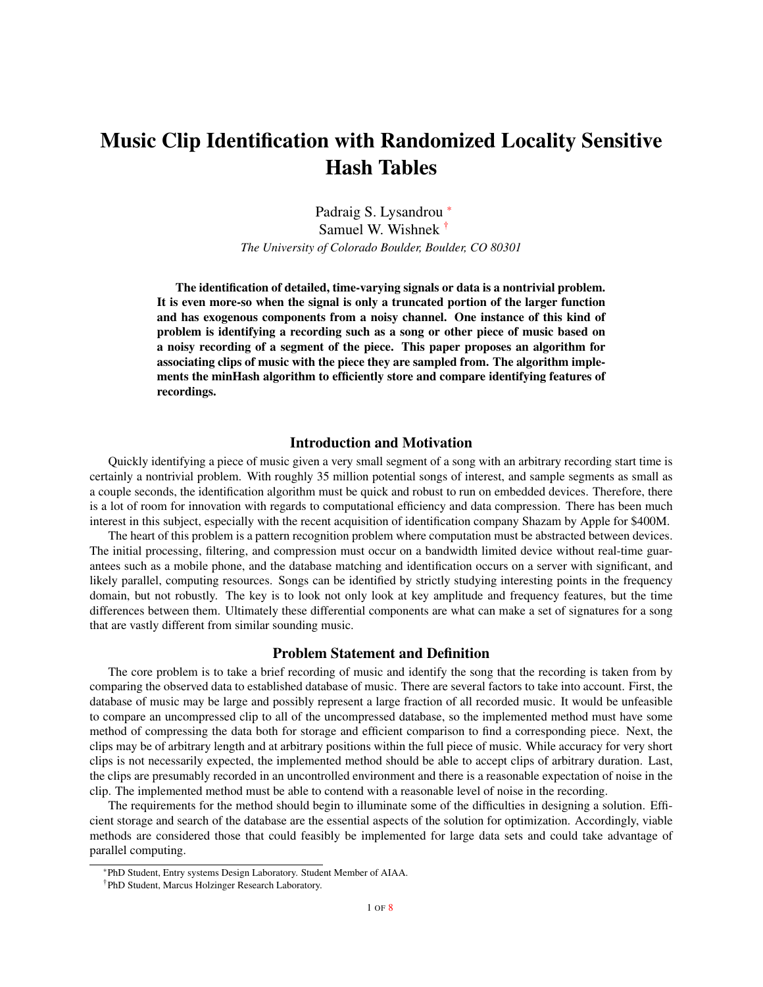# Music Clip Identification with Randomized Locality Sensitive Hash Tables

Padraig S. Lysandrou \* Samuel W. Wishnek † *The University of Colorado Boulder, Boulder, CO 80301*

The identification of detailed, time-varying signals or data is a nontrivial problem. It is even more-so when the signal is only a truncated portion of the larger function and has exogenous components from a noisy channel. One instance of this kind of problem is identifying a recording such as a song or other piece of music based on a noisy recording of a segment of the piece. This paper proposes an algorithm for associating clips of music with the piece they are sampled from. The algorithm implements the minHash algorithm to efficiently store and compare identifying features of recordings.

### Introduction and Motivation

Quickly identifying a piece of music given a very small segment of a song with an arbitrary recording start time is certainly a nontrivial problem. With roughly 35 million potential songs of interest, and sample segments as small as a couple seconds, the identification algorithm must be quick and robust to run on embedded devices. Therefore, there is a lot of room for innovation with regards to computational efficiency and data compression. There has been much interest in this subject, especially with the recent acquisition of identification company Shazam by Apple for \$400M.

The heart of this problem is a pattern recognition problem where computation must be abstracted between devices. The initial processing, filtering, and compression must occur on a bandwidth limited device without real-time guarantees such as a mobile phone, and the database matching and identification occurs on a server with significant, and likely parallel, computing resources. Songs can be identified by strictly studying interesting points in the frequency domain, but not robustly. The key is to look not only look at key amplitude and frequency features, but the time differences between them. Ultimately these differential components are what can make a set of signatures for a song that are vastly different from similar sounding music.

# Problem Statement and Definition

The core problem is to take a brief recording of music and identify the song that the recording is taken from by comparing the observed data to established database of music. There are several factors to take into account. First, the database of music may be large and possibly represent a large fraction of all recorded music. It would be unfeasible to compare an uncompressed clip to all of the uncompressed database, so the implemented method must have some method of compressing the data both for storage and efficient comparison to find a corresponding piece. Next, the clips may be of arbitrary length and at arbitrary positions within the full piece of music. While accuracy for very short clips is not necessarily expected, the implemented method should be able to accept clips of arbitrary duration. Last, the clips are presumably recorded in an uncontrolled environment and there is a reasonable expectation of noise in the clip. The implemented method must be able to contend with a reasonable level of noise in the recording.

The requirements for the method should begin to illuminate some of the difficulties in designing a solution. Efficient storage and search of the database are the essential aspects of the solution for optimization. Accordingly, viable methods are considered those that could feasibly be implemented for large data sets and could take advantage of parallel computing.

<sup>\*</sup>PhD Student, Entry systems Design Laboratory. Student Member of AIAA.

<sup>†</sup>PhD Student, Marcus Holzinger Research Laboratory.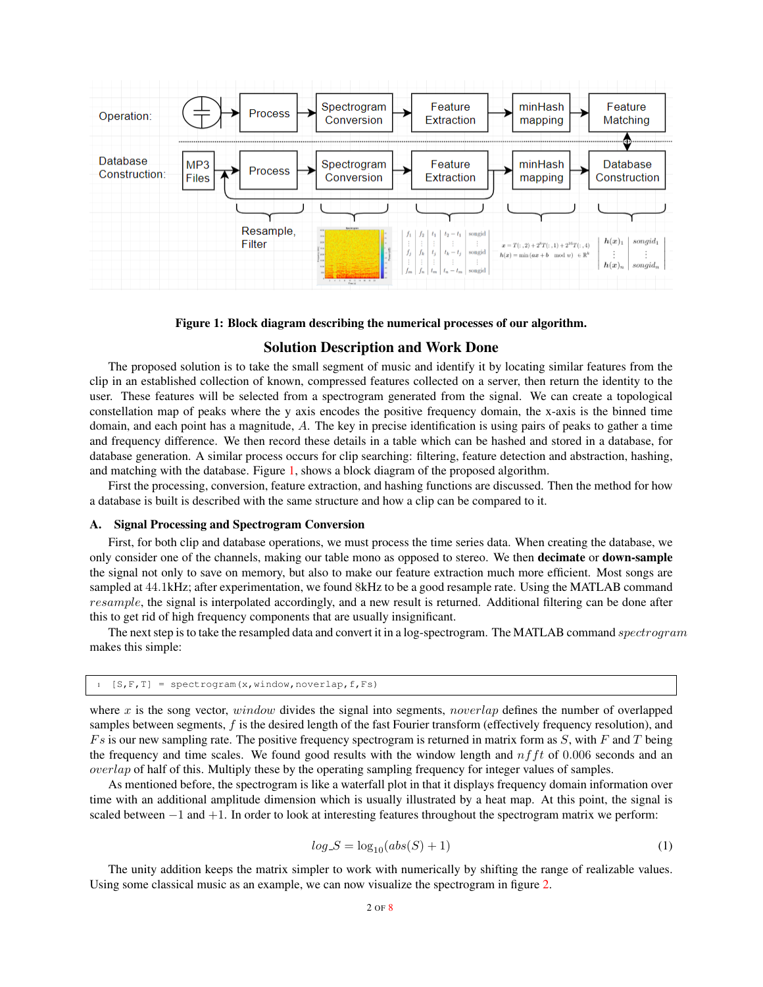

Figure 1: Block diagram describing the numerical processes of our algorithm.

## <span id="page-1-0"></span>Solution Description and Work Done

The proposed solution is to take the small segment of music and identify it by locating similar features from the clip in an established collection of known, compressed features collected on a server, then return the identity to the user. These features will be selected from a spectrogram generated from the signal. We can create a topological constellation map of peaks where the y axis encodes the positive frequency domain, the x-axis is the binned time domain, and each point has a magnitude, A. The key in precise identification is using pairs of peaks to gather a time and frequency difference. We then record these details in a table which can be hashed and stored in a database, for database generation. A similar process occurs for clip searching: filtering, feature detection and abstraction, hashing, and matching with the database. Figure [1,](#page-1-0) shows a block diagram of the proposed algorithm.

First the processing, conversion, feature extraction, and hashing functions are discussed. Then the method for how a database is built is described with the same structure and how a clip can be compared to it.

#### A. Signal Processing and Spectrogram Conversion

First, for both clip and database operations, we must process the time series data. When creating the database, we only consider one of the channels, making our table mono as opposed to stereo. We then decimate or down-sample the signal not only to save on memory, but also to make our feature extraction much more efficient. Most songs are sampled at 44.1kHz; after experimentation, we found 8kHz to be a good resample rate. Using the MATLAB command resample, the signal is interpolated accordingly, and a new result is returned. Additional filtering can be done after this to get rid of high frequency components that are usually insignificant.

The next step is to take the resampled data and convert it in a log-spectrogram. The MATLAB command spectrogram makes this simple:

 $[S, F, T] = spectrum(x, window, noverlap, f, Fs)$ 

where x is the song vector, window divides the signal into segments, noverlap defines the number of overlapped samples between segments,  $f$  is the desired length of the fast Fourier transform (effectively frequency resolution), and  $Fs$  is our new sampling rate. The positive frequency spectrogram is returned in matrix form as  $S$ , with  $F$  and  $T$  being the frequency and time scales. We found good results with the window length and  $nfft$  of 0.006 seconds and an overlap of half of this. Multiply these by the operating sampling frequency for integer values of samples.

As mentioned before, the spectrogram is like a waterfall plot in that it displays frequency domain information over time with an additional amplitude dimension which is usually illustrated by a heat map. At this point, the signal is scaled between −1 and +1. In order to look at interesting features throughout the spectrogram matrix we perform:

$$
log.S = \log_{10}(abs(S) + 1)
$$
\n<sup>(1)</sup>

The unity addition keeps the matrix simpler to work with numerically by shifting the range of realizable values. Using some classical music as an example, we can now visualize the spectrogram in figure [2.](#page-2-0)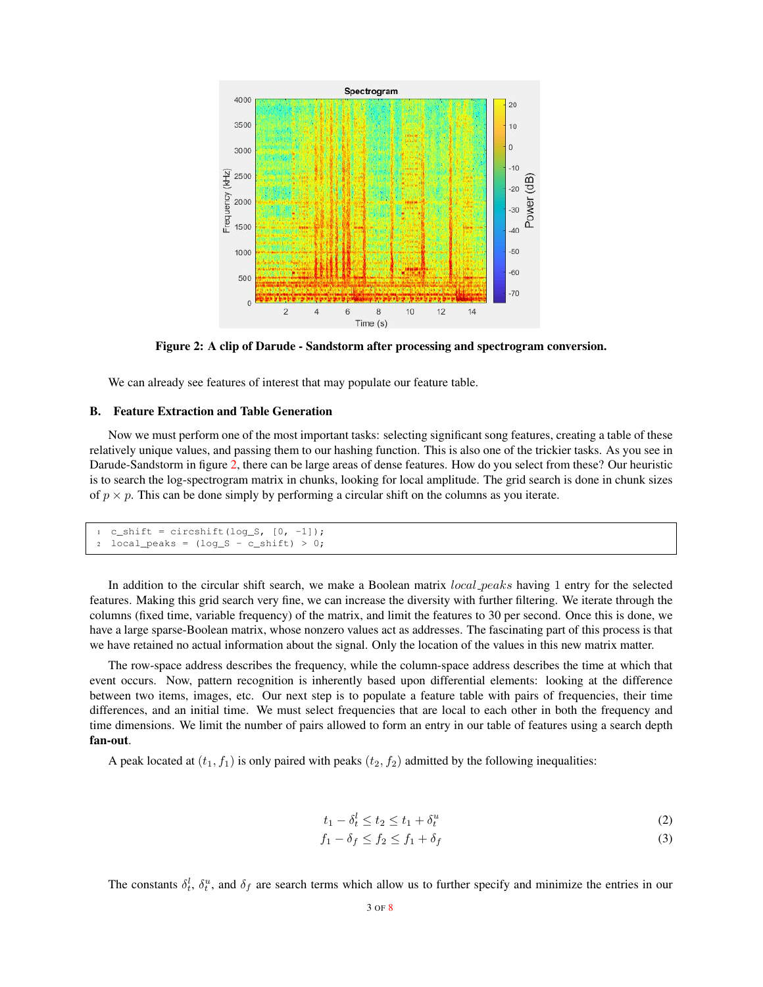

<span id="page-2-0"></span>Figure 2: A clip of Darude - Sandstorm after processing and spectrogram conversion.

We can already see features of interest that may populate our feature table.

# B. Feature Extraction and Table Generation

Now we must perform one of the most important tasks: selecting significant song features, creating a table of these relatively unique values, and passing them to our hashing function. This is also one of the trickier tasks. As you see in Darude-Sandstorm in figure [2,](#page-2-0) there can be large areas of dense features. How do you select from these? Our heuristic is to search the log-spectrogram matrix in chunks, looking for local amplitude. The grid search is done in chunk sizes of  $p \times p$ . This can be done simply by performing a circular shift on the columns as you iterate.

```
c_shift = circshift(log_S, [0, -1]);
2 \text{ local-peaks} = (\text{log\_S - c\_shift}) > 0;
```
In addition to the circular shift search, we make a Boolean matrix *local peaks* having 1 entry for the selected features. Making this grid search very fine, we can increase the diversity with further filtering. We iterate through the columns (fixed time, variable frequency) of the matrix, and limit the features to 30 per second. Once this is done, we have a large sparse-Boolean matrix, whose nonzero values act as addresses. The fascinating part of this process is that we have retained no actual information about the signal. Only the location of the values in this new matrix matter.

The row-space address describes the frequency, while the column-space address describes the time at which that event occurs. Now, pattern recognition is inherently based upon differential elements: looking at the difference between two items, images, etc. Our next step is to populate a feature table with pairs of frequencies, their time differences, and an initial time. We must select frequencies that are local to each other in both the frequency and time dimensions. We limit the number of pairs allowed to form an entry in our table of features using a search depth fan-out.

A peak located at  $(t_1, f_1)$  is only paired with peaks  $(t_2, f_2)$  admitted by the following inequalities:

$$
t_1 - \delta_t^l \le t_2 \le t_1 + \delta_t^u \tag{2}
$$

$$
f_1 - \delta_f \le f_2 \le f_1 + \delta_f \tag{3}
$$

The constants  $\delta_t^l$ ,  $\delta_t^u$ , and  $\delta_f$  are search terms which allow us to further specify and minimize the entries in our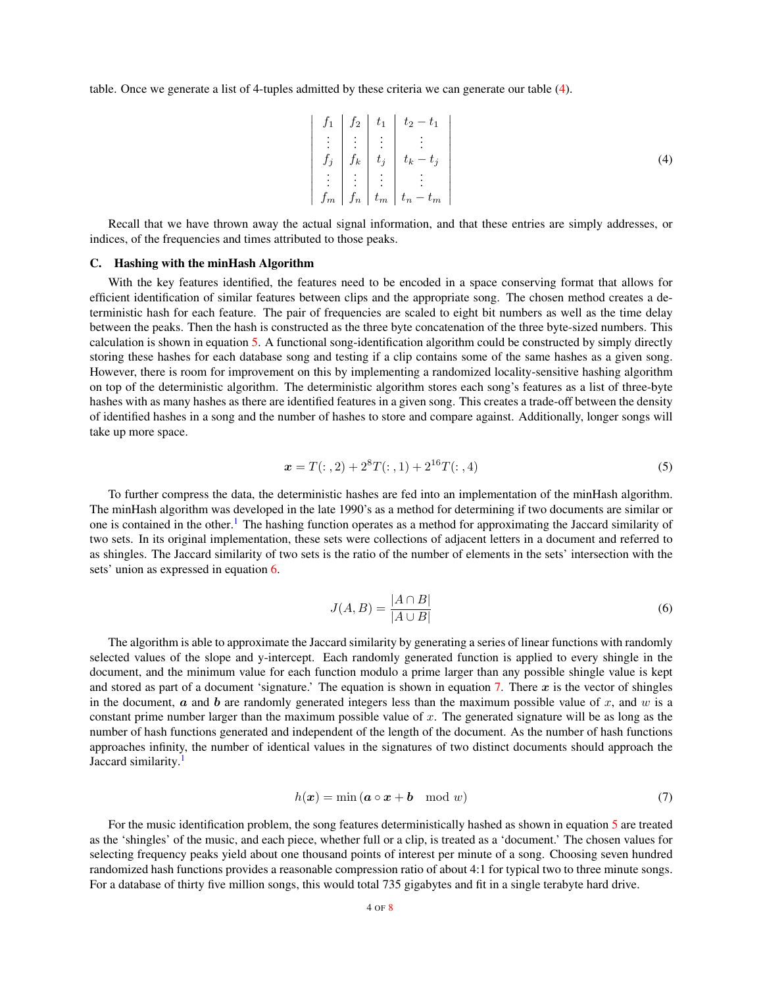<span id="page-3-0"></span>table. Once we generate a list of 4-tuples admitted by these criteria we can generate our table [\(4\)](#page-3-0).

$$
\begin{vmatrix}\nf_1 & f_2 & f_1 \\
\vdots & \vdots & \vdots \\
f_j & f_k & t_j & t_k - t_j \\
\vdots & \vdots & \vdots & \vdots \\
f_m & f_n & t_m & t_n - t_m\n\end{vmatrix}
$$
\n(4)

Recall that we have thrown away the actual signal information, and that these entries are simply addresses, or indices, of the frequencies and times attributed to those peaks.

#### C. Hashing with the minHash Algorithm

With the key features identified, the features need to be encoded in a space conserving format that allows for efficient identification of similar features between clips and the appropriate song. The chosen method creates a deterministic hash for each feature. The pair of frequencies are scaled to eight bit numbers as well as the time delay between the peaks. Then the hash is constructed as the three byte concatenation of the three byte-sized numbers. This calculation is shown in equation [5.](#page-3-1) A functional song-identification algorithm could be constructed by simply directly storing these hashes for each database song and testing if a clip contains some of the same hashes as a given song. However, there is room for improvement on this by implementing a randomized locality-sensitive hashing algorithm on top of the deterministic algorithm. The deterministic algorithm stores each song's features as a list of three-byte hashes with as many hashes as there are identified features in a given song. This creates a trade-off between the density of identified hashes in a song and the number of hashes to store and compare against. Additionally, longer songs will take up more space.

$$
x = T(:, 2) + 2^{8}T(:, 1) + 2^{16}T(:, 4)
$$
\n(5)

<span id="page-3-1"></span>To further compress the data, the deterministic hashes are fed into an implementation of the minHash algorithm. The minHash algorithm was developed in the late 1990's as a method for determining if two documents are similar or one is contained in the other.<sup>[1](#page-7-1)</sup> The hashing function operates as a method for approximating the Jaccard similarity of two sets. In its original implementation, these sets were collections of adjacent letters in a document and referred to as shingles. The Jaccard similarity of two sets is the ratio of the number of elements in the sets' intersection with the sets' union as expressed in equation [6.](#page-3-2)

$$
J(A,B) = \frac{|A \cap B|}{|A \cup B|} \tag{6}
$$

<span id="page-3-2"></span>The algorithm is able to approximate the Jaccard similarity by generating a series of linear functions with randomly selected values of the slope and y-intercept. Each randomly generated function is applied to every shingle in the document, and the minimum value for each function modulo a prime larger than any possible shingle value is kept and stored as part of a document 'signature.' The equation is shown in equation [7.](#page-3-3) There  $x$  is the vector of shingles in the document,  $\alpha$  and  $\dot{\beta}$  are randomly generated integers less than the maximum possible value of  $x$ , and  $w$  is a constant prime number larger than the maximum possible value of  $x$ . The generated signature will be as long as the number of hash functions generated and independent of the length of the document. As the number of hash functions approaches infinity, the number of identical values in the signatures of two distinct documents should approach the Jaccard similarity.<sup>[1](#page-7-1)</sup>

$$
h(\boldsymbol{x}) = \min(\boldsymbol{a} \circ \boldsymbol{x} + \boldsymbol{b} \mod w) \tag{7}
$$

<span id="page-3-3"></span>For the music identification problem, the song features deterministically hashed as shown in equation [5](#page-3-1) are treated as the 'shingles' of the music, and each piece, whether full or a clip, is treated as a 'document.' The chosen values for selecting frequency peaks yield about one thousand points of interest per minute of a song. Choosing seven hundred randomized hash functions provides a reasonable compression ratio of about 4:1 for typical two to three minute songs. For a database of thirty five million songs, this would total 735 gigabytes and fit in a single terabyte hard drive.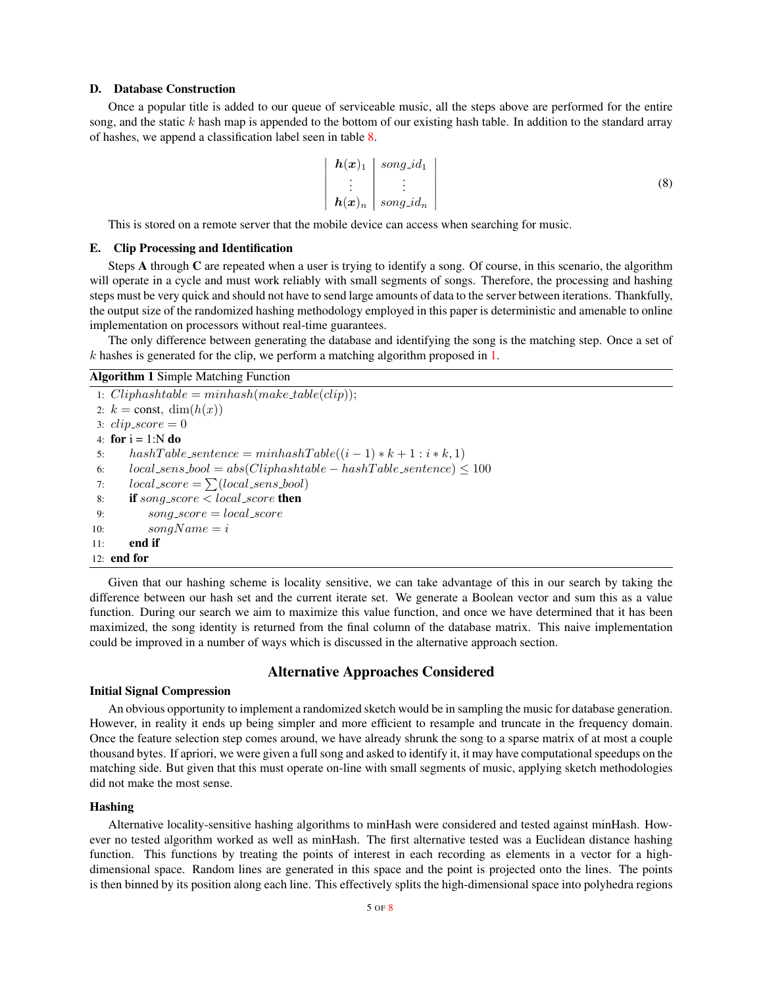## D. Database Construction

<span id="page-4-0"></span>Once a popular title is added to our queue of serviceable music, all the steps above are performed for the entire song, and the static  $k$  hash map is appended to the bottom of our existing hash table. In addition to the standard array of hashes, we append a classification label seen in table [8.](#page-4-0)

$$
\begin{vmatrix}\n\mathbf{h}(\mathbf{x})_1 \\
\vdots \\
\mathbf{h}(\mathbf{x})_n\n\end{vmatrix} = \text{song_id}_n
$$
\n(8)

This is stored on a remote server that the mobile device can access when searching for music.

## E. Clip Processing and Identification

Steps A through C are repeated when a user is trying to identify a song. Of course, in this scenario, the algorithm will operate in a cycle and must work reliably with small segments of songs. Therefore, the processing and hashing steps must be very quick and should not have to send large amounts of data to the server between iterations. Thankfully, the output size of the randomized hashing methodology employed in this paper is deterministic and amenable to online implementation on processors without real-time guarantees.

The only difference between generating the database and identifying the song is the matching step. Once a set of  $k$  hashes is generated for the clip, we perform a matching algorithm proposed in  $1$ .

### Algorithm 1 Simple Matching Function

<span id="page-4-1"></span>1:  $Cliphashtable = minhashmake_table(clip);$ 2:  $k = \text{const}, \dim(h(x))$ 3:  $clip\_score = 0$ 4: for  $i = 1:N$  do 5: hashTable\_sentence =  $minhashTable((i-1)*k+1:i*k, 1)$ 6:  $local\_sens\_bool = abs(Cliphashtable - hashTable\_sentence) \leq 100$ 7:  $local\_score = \sum (local\_sens\_bool)$ 8: if song\_score  $\lt$  local\_score then 9:  $song\_score = local\_score$ 10:  $songName = i$ 11: end if 12: end for

Given that our hashing scheme is locality sensitive, we can take advantage of this in our search by taking the difference between our hash set and the current iterate set. We generate a Boolean vector and sum this as a value function. During our search we aim to maximize this value function, and once we have determined that it has been maximized, the song identity is returned from the final column of the database matrix. This naive implementation could be improved in a number of ways which is discussed in the alternative approach section.

# Alternative Approaches Considered

#### Initial Signal Compression

An obvious opportunity to implement a randomized sketch would be in sampling the music for database generation. However, in reality it ends up being simpler and more efficient to resample and truncate in the frequency domain. Once the feature selection step comes around, we have already shrunk the song to a sparse matrix of at most a couple thousand bytes. If apriori, we were given a full song and asked to identify it, it may have computational speedups on the matching side. But given that this must operate on-line with small segments of music, applying sketch methodologies did not make the most sense.

### Hashing

Alternative locality-sensitive hashing algorithms to minHash were considered and tested against minHash. However no tested algorithm worked as well as minHash. The first alternative tested was a Euclidean distance hashing function. This functions by treating the points of interest in each recording as elements in a vector for a highdimensional space. Random lines are generated in this space and the point is projected onto the lines. The points is then binned by its position along each line. This effectively splits the high-dimensional space into polyhedra regions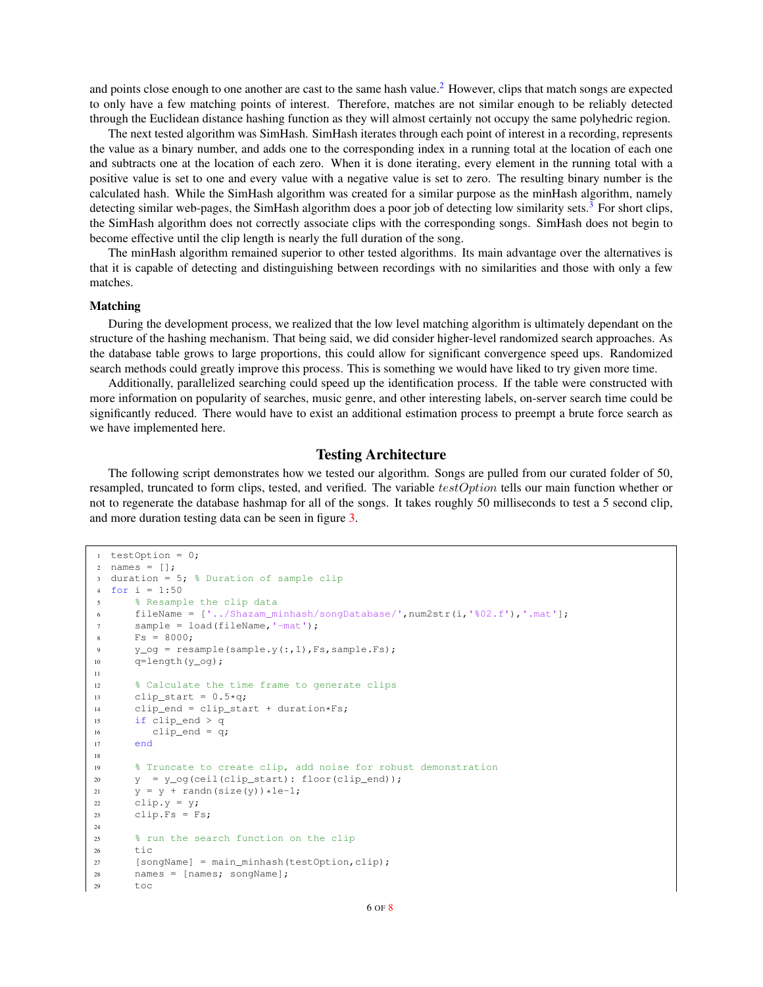and points close enough to one another are cast to the same hash value.<sup>[2](#page-7-2)</sup> However, clips that match songs are expected to only have a few matching points of interest. Therefore, matches are not similar enough to be reliably detected through the Euclidean distance hashing function as they will almost certainly not occupy the same polyhedric region.

The next tested algorithm was SimHash. SimHash iterates through each point of interest in a recording, represents the value as a binary number, and adds one to the corresponding index in a running total at the location of each one and subtracts one at the location of each zero. When it is done iterating, every element in the running total with a positive value is set to one and every value with a negative value is set to zero. The resulting binary number is the calculated hash. While the SimHash algorithm was created for a similar purpose as the minHash algorithm, namely detecting similar web-pages, the SimHash algorithm does a poor job of detecting low similarity sets.<sup>[3](#page-7-3)</sup> For short clips, the SimHash algorithm does not correctly associate clips with the corresponding songs. SimHash does not begin to become effective until the clip length is nearly the full duration of the song.

The minHash algorithm remained superior to other tested algorithms. Its main advantage over the alternatives is that it is capable of detecting and distinguishing between recordings with no similarities and those with only a few matches.

## Matching

During the development process, we realized that the low level matching algorithm is ultimately dependant on the structure of the hashing mechanism. That being said, we did consider higher-level randomized search approaches. As the database table grows to large proportions, this could allow for significant convergence speed ups. Randomized search methods could greatly improve this process. This is something we would have liked to try given more time.

Additionally, parallelized searching could speed up the identification process. If the table were constructed with more information on popularity of searches, music genre, and other interesting labels, on-server search time could be significantly reduced. There would have to exist an additional estimation process to preempt a brute force search as we have implemented here.

# Testing Architecture

The following script demonstrates how we tested our algorithm. Songs are pulled from our curated folder of 50, resampled, truncated to form clips, tested, and verified. The variable testOption tells our main function whether or not to regenerate the database hashmap for all of the songs. It takes roughly 50 milliseconds to test a 5 second clip, and more duration testing data can be seen in figure [3.](#page-7-4)

```
1 testOption = 0;
2 names = [];
3 duration = 5; \frac{1}{2} Duration of sample clip
4 for i = 1:505 % Resample the clip data
6 fileName = [\cdot, ./Shazam_minhash/songDatabase/',num2str(i,'%02.f'),'.mat'];
7 sample = load(fileName,'-mat');
s = 8000;9 y_og = resample(sample.y(:,1),Fs,sample.Fs);
10 q= length (y \circ q);
11
12 % Calculate the time frame to generate clips
13 clip_start = 0.5 \star q;
14 clip_end = clip_start + duration*Fs;
15 if clip_end > q
16 clip_end = q;
17 end
18
19 % Truncate to create clip, add noise for robust demonstration
20 \qquad y = y\_{\text{og}}(\text{ceil}(\text{clip\_start}): \text{floor}(\text{clip\_end}));
21 y = y + \text{randn}(\text{size}(y)) * 1e-1;<br>22 \text{clip.v} = y;clip.y = y;23 clip.Fs = Fs;
24
25 % run the search function on the clip
26 tic
27 [songName] = main_minhash(testOption,clip);
28 names = [names; songName];
29 toc
```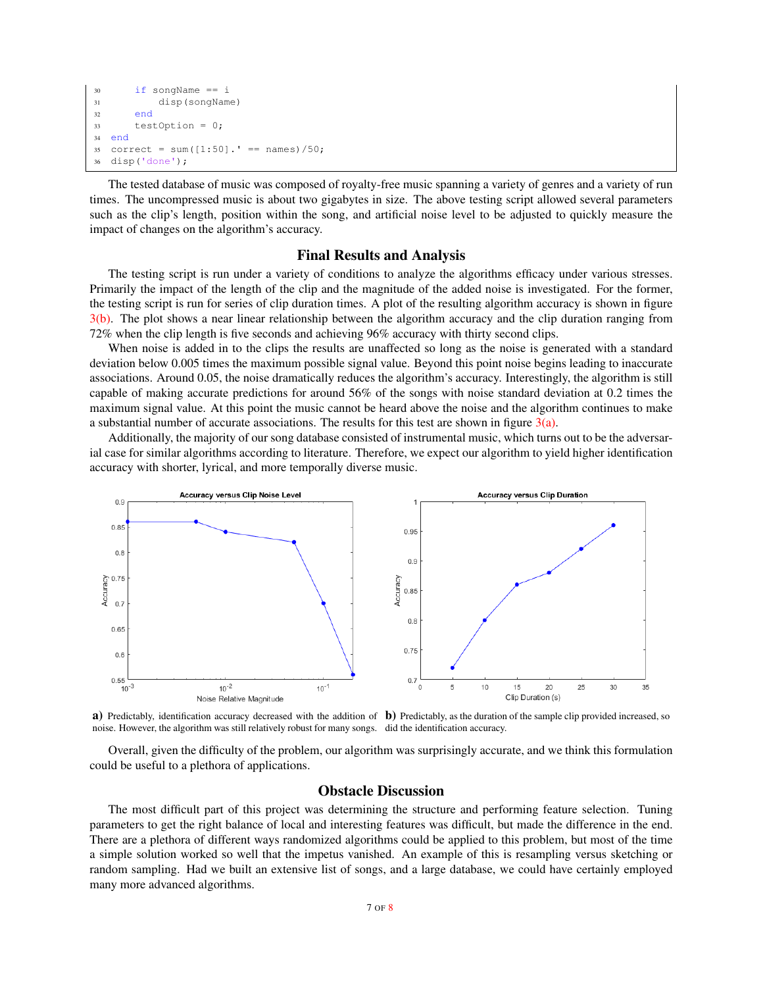```
30 if songName == i
31 disp(songName)
32 end
33 testOption = 0;
34 end
35 correct = sum([1:50]. ' == names)/50;
36 disp('done');
```
The tested database of music was composed of royalty-free music spanning a variety of genres and a variety of run times. The uncompressed music is about two gigabytes in size. The above testing script allowed several parameters such as the clip's length, position within the song, and artificial noise level to be adjusted to quickly measure the impact of changes on the algorithm's accuracy.

# Final Results and Analysis

The testing script is run under a variety of conditions to analyze the algorithms efficacy under various stresses. Primarily the impact of the length of the clip and the magnitude of the added noise is investigated. For the former, the testing script is run for series of clip duration times. A plot of the resulting algorithm accuracy is shown in figure [3\(b\).](#page-6-0) The plot shows a near linear relationship between the algorithm accuracy and the clip duration ranging from 72% when the clip length is five seconds and achieving 96% accuracy with thirty second clips.

When noise is added in to the clips the results are unaffected so long as the noise is generated with a standard deviation below 0.005 times the maximum possible signal value. Beyond this point noise begins leading to inaccurate associations. Around 0.05, the noise dramatically reduces the algorithm's accuracy. Interestingly, the algorithm is still capable of making accurate predictions for around 56% of the songs with noise standard deviation at 0.2 times the maximum signal value. At this point the music cannot be heard above the noise and the algorithm continues to make a substantial number of accurate associations. The results for this test are shown in figure  $3(a)$ .

Additionally, the majority of our song database consisted of instrumental music, which turns out to be the adversarial case for similar algorithms according to literature. Therefore, we expect our algorithm to yield higher identification accuracy with shorter, lyrical, and more temporally diverse music.

<span id="page-6-1"></span>

**a**) Predictably, identification accuracy decreased with the addition of **b**) Predictably, as the duration of the sample clip provided increased, so noise. However, the algorithm was still relatively robust for many songs. did the identification accuracy.

Overall, given the difficulty of the problem, our algorithm was surprisingly accurate, and we think this formulation could be useful to a plethora of applications.

# <span id="page-6-0"></span>Obstacle Discussion

The most difficult part of this project was determining the structure and performing feature selection. Tuning parameters to get the right balance of local and interesting features was difficult, but made the difference in the end. There are a plethora of different ways randomized algorithms could be applied to this problem, but most of the time a simple solution worked so well that the impetus vanished. An example of this is resampling versus sketching or random sampling. Had we built an extensive list of songs, and a large database, we could have certainly employed many more advanced algorithms.